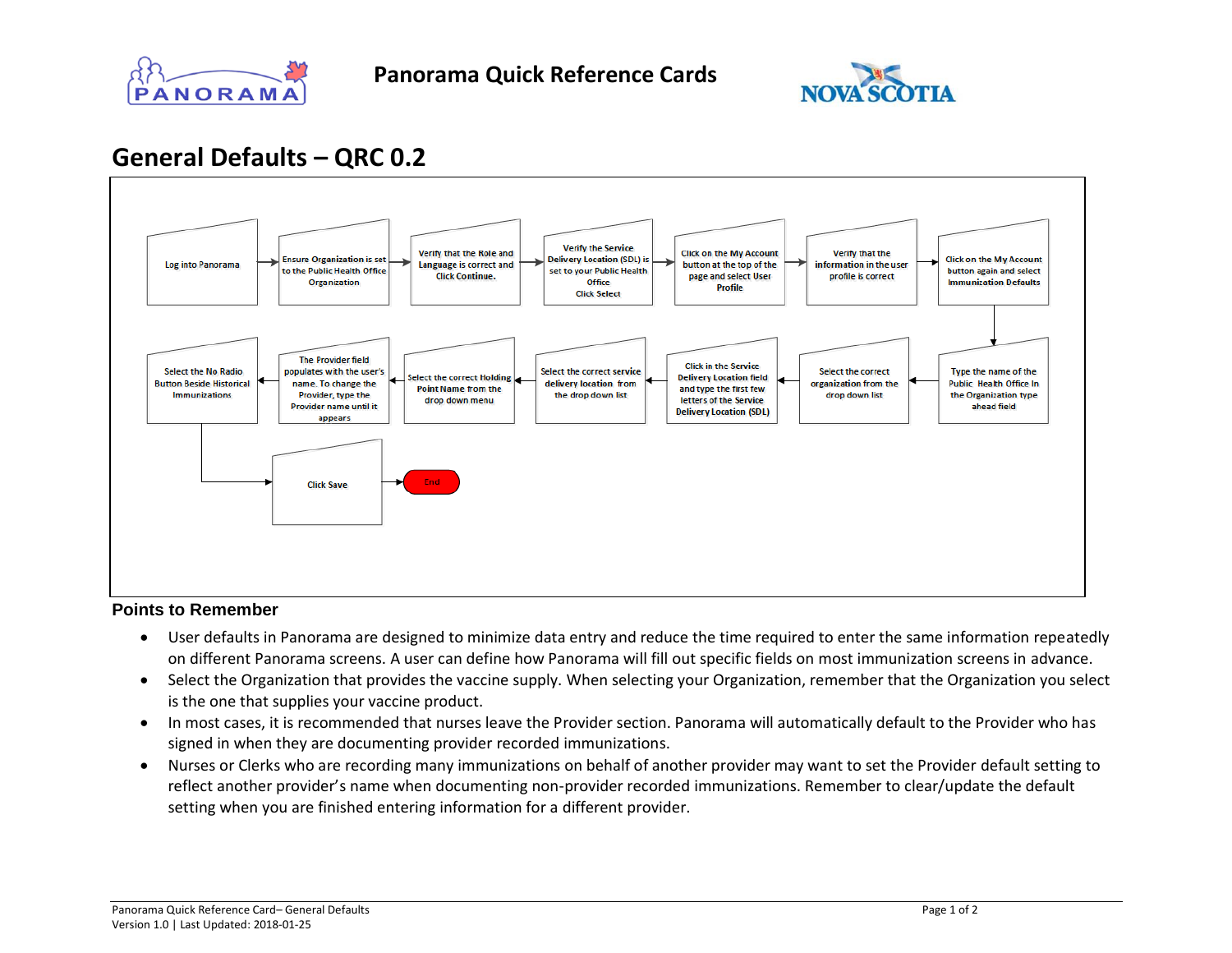



## **General Defaults – QRC 0.2**



## **Points to Remember**

- User defaults in Panorama are designed to minimize data entry and reduce the time required to enter the same information repeatedly on different Panorama screens. A user can define how Panorama will fill out specific fields on most immunization screens in advance.
- Select the Organization that provides the vaccine supply. When selecting your Organization, remember that the Organization you select is the one that supplies your vaccine product.
- In most cases, it is recommended that nurses leave the Provider section. Panorama will automatically default to the Provider who has signed in when they are documenting provider recorded immunizations.
- Nurses or Clerks who are recording many immunizations on behalf of another provider may want to set the Provider default setting to reflect another provider's name when documenting non-provider recorded immunizations. Remember to clear/update the default setting when you are finished entering information for a different provider.